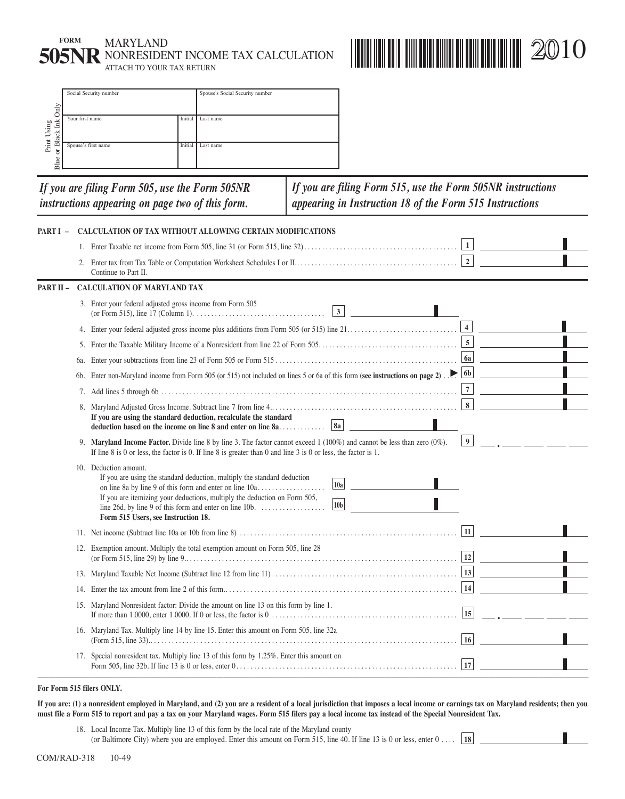|                             |                            | 17. Special nonresident tax. Multiply line 13 of this form by 1.25%. Enter this amount on                                                                                                                                                                                                                       |                                 |  |                                                                                                                         |                  |  |
|-----------------------------|----------------------------|-----------------------------------------------------------------------------------------------------------------------------------------------------------------------------------------------------------------------------------------------------------------------------------------------------------------|---------------------------------|--|-------------------------------------------------------------------------------------------------------------------------|------------------|--|
|                             |                            | 16. Maryland Tax. Multiply line 14 by line 15. Enter this amount on Form 505, line 32a                                                                                                                                                                                                                          |                                 |  |                                                                                                                         |                  |  |
|                             |                            | 15. Maryland Nonresident factor: Divide the amount on line 13 on this form by line 1.                                                                                                                                                                                                                           |                                 |  |                                                                                                                         |                  |  |
|                             |                            |                                                                                                                                                                                                                                                                                                                 |                                 |  |                                                                                                                         |                  |  |
|                             |                            |                                                                                                                                                                                                                                                                                                                 |                                 |  |                                                                                                                         |                  |  |
|                             |                            | 12. Exemption amount. Multiply the total exemption amount on Form 505, line 28                                                                                                                                                                                                                                  |                                 |  |                                                                                                                         |                  |  |
|                             |                            |                                                                                                                                                                                                                                                                                                                 |                                 |  |                                                                                                                         | 11               |  |
|                             |                            | 10. Deduction amount.<br>If you are using the standard deduction, multiply the standard deduction<br> 10a <br>on line 8a by line 9 of this form and enter on line 10a<br>If you are itemizing your deductions, multiply the deduction on Form 505,<br> 10 <sub>b</sub>  <br>Form 515 Users, see Instruction 18. |                                 |  |                                                                                                                         |                  |  |
|                             |                            | 9. Maryland Income Factor. Divide line 8 by line 3. The factor cannot exceed $1(100\%)$ and cannot be less than zero (0%).<br>If line 8 is 0 or less, the factor is 0. If line 8 is greater than 0 and line 3 is 0 or less, the factor is 1.                                                                    |                                 |  |                                                                                                                         | $\boldsymbol{9}$ |  |
|                             |                            | If you are using the standard deduction, recalculate the standard<br> 8a <br>deduction based on the income on line 8 and enter on line 8a                                                                                                                                                                       |                                 |  |                                                                                                                         | $\bf 8$          |  |
|                             | 7.                         |                                                                                                                                                                                                                                                                                                                 |                                 |  |                                                                                                                         | $\overline{7}$   |  |
|                             | 6b.                        | Enter non-Maryland income from Form 505 (or 515) not included on lines 5 or 6a of this form (see instructions on page 2).                                                                                                                                                                                       |                                 |  |                                                                                                                         | 6 <sub>b</sub>   |  |
|                             | 6a.                        |                                                                                                                                                                                                                                                                                                                 |                                 |  |                                                                                                                         | <b>6a</b>        |  |
|                             |                            |                                                                                                                                                                                                                                                                                                                 |                                 |  |                                                                                                                         |                  |  |
|                             |                            |                                                                                                                                                                                                                                                                                                                 |                                 |  | $\mathbf{3}$                                                                                                            | $\overline{4}$   |  |
|                             |                            | 3. Enter your federal adjusted gross income from Form 505                                                                                                                                                                                                                                                       |                                 |  |                                                                                                                         |                  |  |
| PART II -                   |                            | <b>CALCULATION OF MARYLAND TAX</b>                                                                                                                                                                                                                                                                              |                                 |  |                                                                                                                         |                  |  |
|                             |                            | Continue to Part II.                                                                                                                                                                                                                                                                                            |                                 |  |                                                                                                                         |                  |  |
|                             |                            |                                                                                                                                                                                                                                                                                                                 |                                 |  |                                                                                                                         |                  |  |
| PART I-                     |                            | <b>CALCULATION OF TAX WITHOUT ALLOWING CERTAIN MODIFICATIONS</b>                                                                                                                                                                                                                                                |                                 |  |                                                                                                                         |                  |  |
|                             |                            | If you are filing Form 505, use the Form 505NR<br>instructions appearing on page two of this form.                                                                                                                                                                                                              |                                 |  | If you are filing Form 515, use the Form 505NR instructions<br>appearing in Instruction 18 of the Form 515 Instructions |                  |  |
| Blue.                       |                            |                                                                                                                                                                                                                                                                                                                 |                                 |  |                                                                                                                         |                  |  |
| or Black Ink<br>Print Using | Spouse's first name        |                                                                                                                                                                                                                                                                                                                 | Initial Last name               |  |                                                                                                                         |                  |  |
|                             |                            |                                                                                                                                                                                                                                                                                                                 |                                 |  |                                                                                                                         |                  |  |
| $\mbox{Only}$               | Your first name<br>Initial |                                                                                                                                                                                                                                                                                                                 | Last name                       |  |                                                                                                                         |                  |  |
|                             | Social Security number     |                                                                                                                                                                                                                                                                                                                 | Spouse's Social Security number |  |                                                                                                                         |                  |  |

**IIIIIIIIIIIIIIIIIIIIIIII**III 2010

**If you are: (1) a nonresident employed in Maryland, and (2) you are a resident of a local jurisdiction that imposes a local income or earnings tax on Maryland residents; then you must file a Form 515 to report and pay a tax on your Maryland wages. Form 515 filers pay a local income tax instead of the Special Nonresident Tax.** 

18. Local Income Tax. Multiply line 13 of this form by the local rate of the Maryland county<br>
(or Baltimore City) where you are employed. Enter this amount on Form 515, line 40. If line 13 is 0 or less, enter 0 .... [18] (or Baltimore City) where you are employed. Enter this amount on Form 515, line 40. If line 13 is 0 or less, enter 0 .... **18** 

**FORM MARYLAND** 

**505NR** NONRESIDENT INCOME TAX CALCULATION